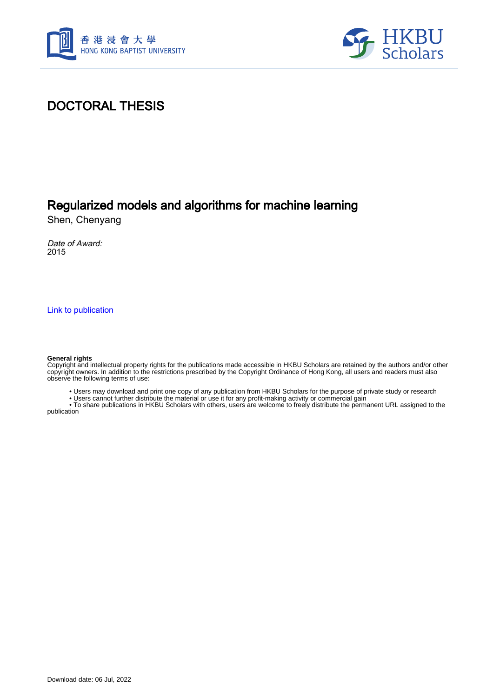



## DOCTORAL THESIS

## Regularized models and algorithms for machine learning

Shen, Chenyang

Date of Award: 2015

[Link to publication](https://scholars.hkbu.edu.hk/en/studentTheses/906f605c-750a-4a41-ae92-a8d03e1a845f)

#### **General rights**

Copyright and intellectual property rights for the publications made accessible in HKBU Scholars are retained by the authors and/or other copyright owners. In addition to the restrictions prescribed by the Copyright Ordinance of Hong Kong, all users and readers must also observe the following terms of use:

• Users may download and print one copy of any publication from HKBU Scholars for the purpose of private study or research

• Users cannot further distribute the material or use it for any profit-making activity or commercial gain

 • To share publications in HKBU Scholars with others, users are welcome to freely distribute the permanent URL assigned to the publication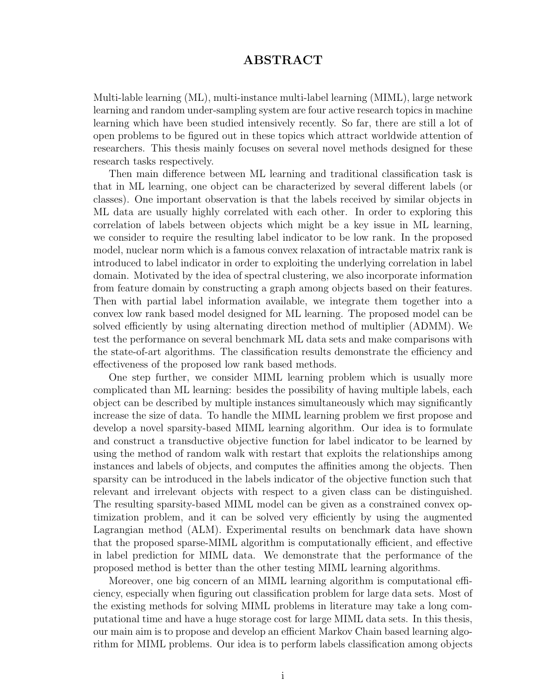### ABSTRACT

Multi-lable learning (ML), multi-instance multi-label learning (MIML), large network learning and random under-sampling system are four active research topics in machine learning which have been studied intensively recently. So far, there are still a lot of open problems to be figured out in these topics which attract worldwide attention of researchers. This thesis mainly focuses on several novel methods designed for these research tasks respectively.

Then main difference between ML learning and traditional classification task is that in ML learning, one object can be characterized by several different labels (or classes). One important observation is that the labels received by similar objects in ML data are usually highly correlated with each other. In order to exploring this correlation of labels between objects which might be a key issue in ML learning, we consider to require the resulting label indicator to be low rank. In the proposed model, nuclear norm which is a famous convex relaxation of intractable matrix rank is introduced to label indicator in order to exploiting the underlying correlation in label domain. Motivated by the idea of spectral clustering, we also incorporate information from feature domain by constructing a graph among objects based on their features. Then with partial label information available, we integrate them together into a convex low rank based model designed for ML learning. The proposed model can be solved efficiently by using alternating direction method of multiplier (ADMM). We test the performance on several benchmark ML data sets and make comparisons with the state-of-art algorithms. The classification results demonstrate the efficiency and effectiveness of the proposed low rank based methods.

One step further, we consider MIML learning problem which is usually more complicated than ML learning: besides the possibility of having multiple labels, each object can be described by multiple instances simultaneously which may significantly increase the size of data. To handle the MIML learning problem we first propose and develop a novel sparsity-based MIML learning algorithm. Our idea is to formulate and construct a transductive objective function for label indicator to be learned by using the method of random walk with restart that exploits the relationships among instances and labels of objects, and computes the affinities among the objects. Then sparsity can be introduced in the labels indicator of the objective function such that relevant and irrelevant objects with respect to a given class can be distinguished. The resulting sparsity-based MIML model can be given as a constrained convex optimization problem, and it can be solved very efficiently by using the augmented Lagrangian method (ALM). Experimental results on benchmark data have shown that the proposed sparse-MIML algorithm is computationally efficient, and effective in label prediction for MIML data. We demonstrate that the performance of the proposed method is better than the other testing MIML learning algorithms.

Moreover, one big concern of an MIML learning algorithm is computational efficiency, especially when figuring out classification problem for large data sets. Most of the existing methods for solving MIML problems in literature may take a long computational time and have a huge storage cost for large MIML data sets. In this thesis, our main aim is to propose and develop an efficient Markov Chain based learning algorithm for MIML problems. Our idea is to perform labels classification among objects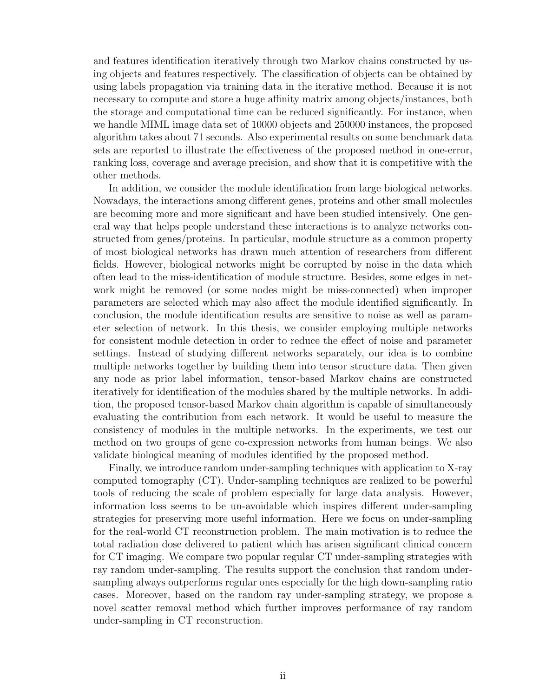and features identification iteratively through two Markov chains constructed by using objects and features respectively. The classification of objects can be obtained by using labels propagation via training data in the iterative method. Because it is not necessary to compute and store a huge affinity matrix among objects/instances, both the storage and computational time can be reduced significantly. For instance, when we handle MIML image data set of 10000 objects and 250000 instances, the proposed algorithm takes about 71 seconds. Also experimental results on some benchmark data sets are reported to illustrate the effectiveness of the proposed method in one-error, ranking loss, coverage and average precision, and show that it is competitive with the other methods.

In addition, we consider the module identification from large biological networks. Nowadays, the interactions among different genes, proteins and other small molecules are becoming more and more significant and have been studied intensively. One general way that helps people understand these interactions is to analyze networks constructed from genes/proteins. In particular, module structure as a common property of most biological networks has drawn much attention of researchers from different fields. However, biological networks might be corrupted by noise in the data which often lead to the miss-identification of module structure. Besides, some edges in network might be removed (or some nodes might be miss-connected) when improper parameters are selected which may also affect the module identified significantly. In conclusion, the module identification results are sensitive to noise as well as parameter selection of network. In this thesis, we consider employing multiple networks for consistent module detection in order to reduce the effect of noise and parameter settings. Instead of studying different networks separately, our idea is to combine multiple networks together by building them into tensor structure data. Then given any node as prior label information, tensor-based Markov chains are constructed iteratively for identification of the modules shared by the multiple networks. In addition, the proposed tensor-based Markov chain algorithm is capable of simultaneously evaluating the contribution from each network. It would be useful to measure the consistency of modules in the multiple networks. In the experiments, we test our method on two groups of gene co-expression networks from human beings. We also validate biological meaning of modules identified by the proposed method.

Finally, we introduce random under-sampling techniques with application to X-ray computed tomography (CT). Under-sampling techniques are realized to be powerful tools of reducing the scale of problem especially for large data analysis. However, information loss seems to be un-avoidable which inspires different under-sampling strategies for preserving more useful information. Here we focus on under-sampling for the real-world CT reconstruction problem. The main motivation is to reduce the total radiation dose delivered to patient which has arisen significant clinical concern for CT imaging. We compare two popular regular CT under-sampling strategies with ray random under-sampling. The results support the conclusion that random undersampling always outperforms regular ones especially for the high down-sampling ratio cases. Moreover, based on the random ray under-sampling strategy, we propose a novel scatter removal method which further improves performance of ray random under-sampling in CT reconstruction.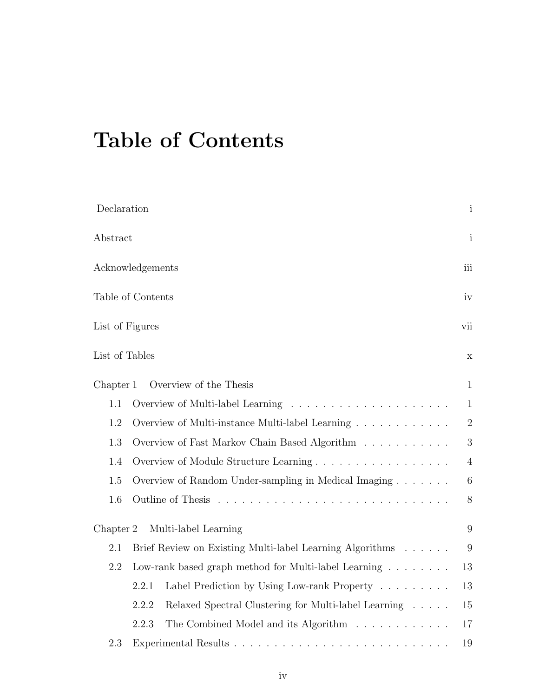# Table of Contents

| Declaration     |                                                                      | $\mathbf{i}$   |  |
|-----------------|----------------------------------------------------------------------|----------------|--|
| Abstract        |                                                                      | $\mathbf{i}$   |  |
|                 | Acknowledgements                                                     |                |  |
|                 | Table of Contents                                                    | iv             |  |
| List of Figures |                                                                      | vii            |  |
| List of Tables  |                                                                      | $\mathbf X$    |  |
| Chapter 1       | Overview of the Thesis                                               | $\mathbf{1}$   |  |
| 1.1             |                                                                      | $\mathbf{1}$   |  |
| 1.2             | Overview of Multi-instance Multi-label Learning                      | $\overline{2}$ |  |
| 1.3             | Overview of Fast Markov Chain Based Algorithm                        | 3              |  |
| 1.4             | Overview of Module Structure Learning                                | $\overline{4}$ |  |
| 1.5             | Overview of Random Under-sampling in Medical Imaging                 | 6              |  |
| $1.6\,$         | Outline of Thesis                                                    | $8\,$          |  |
| Chapter 2       | Multi-label Learning                                                 | 9              |  |
| 2.1             | Brief Review on Existing Multi-label Learning Algorithms             | 9              |  |
| 2.2             | Low-rank based graph method for Multi-label Learning $\ldots \ldots$ | 13             |  |
|                 | 2.2.1<br>Label Prediction by Using Low-rank Property                 | 13             |  |
|                 | 2.2.2<br>Relaxed Spectral Clustering for Multi-label Learning        | 15             |  |
|                 | The Combined Model and its Algorithm<br>2.2.3                        | 17             |  |
| 2.3             | 19                                                                   |                |  |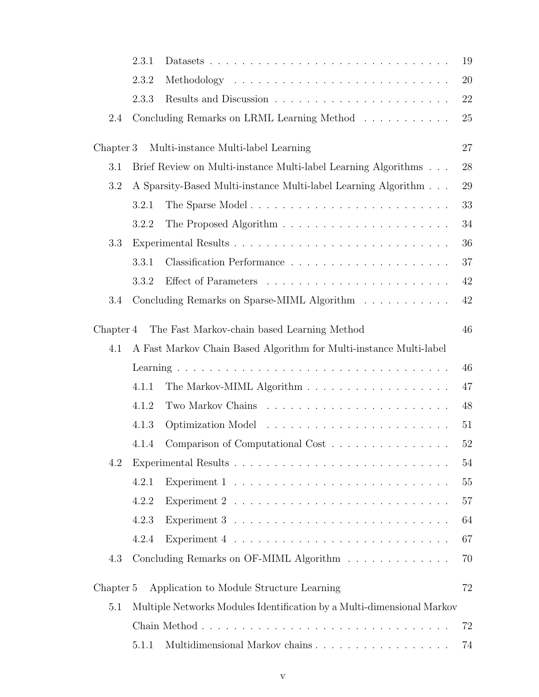|           | 2.3.1                                                          |                                                                               | 19 |
|-----------|----------------------------------------------------------------|-------------------------------------------------------------------------------|----|
|           | 2.3.2                                                          |                                                                               | 20 |
|           | 2.3.3                                                          |                                                                               | 22 |
| 2.4       |                                                                | Concluding Remarks on LRML Learning Method                                    | 25 |
| Chapter 3 |                                                                | Multi-instance Multi-label Learning                                           | 27 |
| 3.1       | Brief Review on Multi-instance Multi-label Learning Algorithms |                                                                               |    |
| 3.2       |                                                                | A Sparsity-Based Multi-instance Multi-label Learning Algorithm                | 29 |
|           | 3.2.1                                                          | The Sparse Model                                                              | 33 |
|           | 3.2.2                                                          | The Proposed Algorithm $\ldots \ldots \ldots \ldots \ldots \ldots \ldots$     | 34 |
| 3.3       |                                                                |                                                                               | 36 |
|           | 3.3.1                                                          |                                                                               | 37 |
|           | 3.3.2                                                          |                                                                               | 42 |
| 3.4       |                                                                | Concluding Remarks on Sparse-MIML Algorithm                                   | 42 |
| Chapter 4 |                                                                | The Fast Markov-chain based Learning Method                                   | 46 |
| 4.1       |                                                                | A Fast Markov Chain Based Algorithm for Multi-instance Multi-label            |    |
|           |                                                                |                                                                               | 46 |
|           | 4.1.1                                                          |                                                                               | 47 |
|           | 4.1.2                                                          |                                                                               | 48 |
|           | 4.1.3                                                          |                                                                               | 51 |
|           | 4.1.4                                                          | Comparison of Computational Cost                                              | 52 |
| 4.2       |                                                                |                                                                               | 54 |
|           | 4.2.1                                                          | Experiment $1 \ldots \ldots \ldots \ldots \ldots \ldots \ldots \ldots \ldots$ | 55 |
|           | 4.2.2                                                          | Experiment $2 \ldots \ldots \ldots \ldots \ldots \ldots \ldots \ldots \ldots$ | 57 |
|           | 4.2.3                                                          | Experiment $3 \ldots \ldots \ldots \ldots \ldots \ldots \ldots \ldots$        | 64 |
|           | 4.2.4                                                          | Experiment $4 \ldots \ldots \ldots \ldots \ldots \ldots \ldots \ldots$        | 67 |
| 4.3       |                                                                | Concluding Remarks on OF-MIML Algorithm                                       | 70 |
| Chapter 5 |                                                                | Application to Module Structure Learning                                      | 72 |
| 5.1       |                                                                | Multiple Networks Modules Identification by a Multi-dimensional Markov        |    |
|           |                                                                |                                                                               | 72 |
|           | 5.1.1                                                          |                                                                               | 74 |